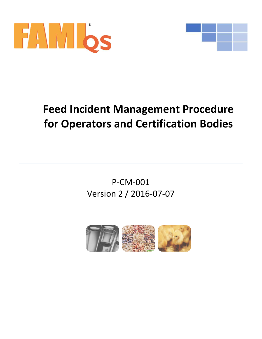



# **Feed Incident Management Procedure for Operators and Certification Bodies**

P-CM-001 Version 2 / 2016-07-07

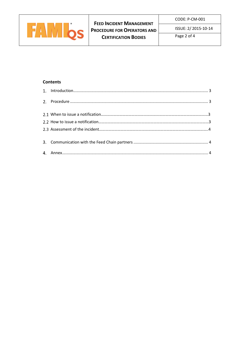

ISSUE: 2/ 2015-10-14

Page 2 of 4

# **Contents**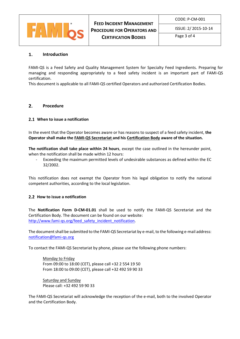

CODE: P-CM-001

ISSUE: 2/ 2015-10-14

Page 3 of 4

#### <span id="page-2-0"></span> $1.$ **Introduction**

FAMI-QS is a Feed Safety and Quality Management System for Specialty Feed Ingredients. Preparing for managing and responding appropriately to a feed safety incident is an important part of FAMI-QS certification.

This document is applicable to all FAMI-QS certified Operators and authorized Certification Bodies.

### <span id="page-2-1"></span> $2.$ **Procedure**

## <span id="page-2-2"></span>**When to issue a notification**

In the event that the Operator becomes aware or has reasons to suspect of a feed safety incident, **the Operator shall make the FAMI-QS Secretariat and his Certification Body aware of the situation.** 

**The notification shall take place within 24 hours**, except the case outlined in the hereunder point, when the notification shall be made within 12 hours:

Exceeding the maximum permitted levels of undesirable substances as defined within the EC 32/2002.

This notification does not exempt the Operator from his legal obligation to notify the national competent authorities, according to the local legislation.

## <span id="page-2-3"></span>**2.2 How to issue a notification**

The **Notification Form D-CM-01.01** shall be used to notify the FAMI-QS Secretariat and the Certification Body. The document can be found on our website: [http://www.fami-qs.org/feed\\_safety\\_incident\\_notification.](http://www.fami-qs.org/feed_safety_incident_notification)

The document shall be submitted to the FAMI-QS Secretariat by e-mail, to the following e-mail address: [notification@fami-qs.org](mailto:notification@fami-qs.org)

To contact the FAMI-QS Secretariat by phone, please use the following phone numbers:

Monday to Friday From 09:00 to 18:00 (CET), please call +32 2 554 19 50 From 18:00 to 09:00 (CET), please call +32 492 59 90 33

Saturday and Sunday Please call: +32 492 59 90 33

The FAMI-QS Secretariat will acknowledge the reception of the e-mail, both to the involved Operator and the Certification Body.